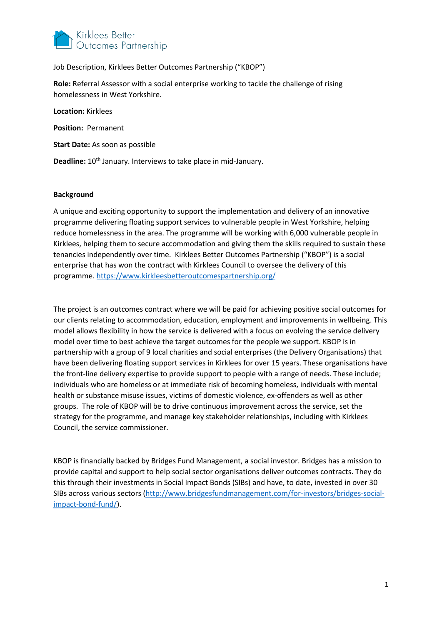

Job Description, Kirklees Better Outcomes Partnership ("KBOP")

**Role:** Referral Assessor with a social enterprise working to tackle the challenge of rising homelessness in West Yorkshire.

**Location:** Kirklees **Position:** Permanent **Start Date:** As soon as possible

**Deadline:** 10<sup>th</sup> January. Interviews to take place in mid-January.

#### **Background**

A unique and exciting opportunity to support the implementation and delivery of an innovative programme delivering floating support services to vulnerable people in West Yorkshire, helping reduce homelessness in the area. The programme will be working with 6,000 vulnerable people in Kirklees, helping them to secure accommodation and giving them the skills required to sustain these tenancies independently over time. Kirklees Better Outcomes Partnership ("KBOP") is a social enterprise that has won the contract with Kirklees Council to oversee the delivery of this programme.<https://www.kirkleesbetteroutcomespartnership.org/>

The project is an outcomes contract where we will be paid for achieving positive social outcomes for our clients relating to accommodation, education, employment and improvements in wellbeing. This model allows flexibility in how the service is delivered with a focus on evolving the service delivery model over time to best achieve the target outcomes for the people we support. KBOP is in partnership with a group of 9 local charities and social enterprises (the Delivery Organisations) that have been delivering floating support services in Kirklees for over 15 years. These organisations have the front-line delivery expertise to provide support to people with a range of needs. These include; individuals who are homeless or at immediate risk of becoming homeless, individuals with mental health or substance misuse issues, victims of domestic violence, ex-offenders as well as other groups. The role of KBOP will be to drive continuous improvement across the service, set the strategy for the programme, and manage key stakeholder relationships, including with Kirklees Council, the service commissioner.

KBOP is financially backed by Bridges Fund Management, a social investor. Bridges has a mission to provide capital and support to help social sector organisations deliver outcomes contracts. They do this through their investments in Social Impact Bonds (SIBs) and have, to date, invested in over 30 SIBs across various sectors [\(http://www.bridgesfundmanagement.com/for-investors/bridges-social](http://www.bridgesfundmanagement.com/for-investors/bridges-social-impact-bond-fund/)[impact-bond-fund/\)](http://www.bridgesfundmanagement.com/for-investors/bridges-social-impact-bond-fund/).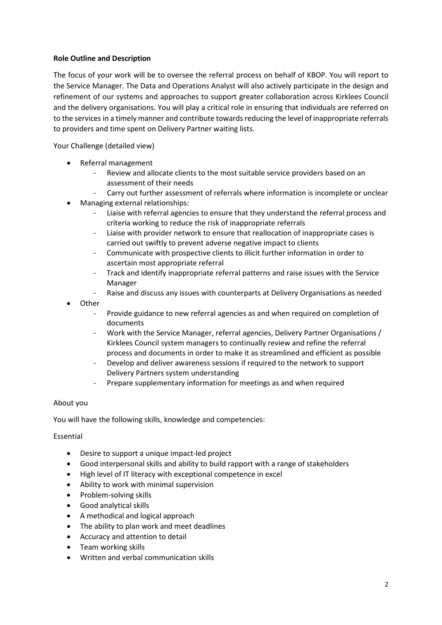# **Role Outline and Description**

The focus of your work will be to oversee the referral process on behalf of KBOP. You will report to the Service Manager. The Data and Operations Analyst will also actively participate in the design and refinement of our systems and approaches to support greater collaboration across Kirklees Council and the delivery organisations. You will play a critical role in ensuring that individuals are referred on to the services in a timely manner and contribute towards reducing the level of inappropriate referrals to providers and time spent on Delivery Partner waiting lists.

Your Challenge (detailed view)

- Referral management
	- Review and allocate clients to the most suitable service providers based on an assessment of their needs
	- Carry out further assessment of referrals where information is incomplete or unclear
- Managing external relationships:
	- Liaise with referral agencies to ensure that they understand the referral process and criteria working to reduce the risk of inappropriate referrals
	- Liaise with provider network to ensure that reallocation of inappropriate cases is carried out swiftly to prevent adverse negative impact to clients
	- Communicate with prospective clients to illicit further information in order to ascertain most appropriate referral
	- Track and identify inappropriate referral patterns and raise issues with the Service Manager
	- Raise and discuss any issues with counterparts at Delivery Organisations as needed
- Other
	- Provide guidance to new referral agencies as and when required on completion of documents
	- Work with the Service Manager, referral agencies, Delivery Partner Organisations / Kirklees Council system managers to continually review and refine the referral process and documents in order to make it as streamlined and efficient as possible
	- Develop and deliver awareness sessions if required to the network to support Delivery Partners system understanding
	- Prepare supplementary information for meetings as and when required

### About you

You will have the following skills, knowledge and competencies:

### Essential

- Desire to support a unique impact-led project
- Good interpersonal skills and ability to build rapport with a range of stakeholders
- High level of IT literacy with exceptional competence in excel
- Ability to work with minimal supervision
- Problem-solving skills
- Good analytical skills
- A methodical and logical approach
- The ability to plan work and meet deadlines
- Accuracy and attention to detail
- Team working skills
- Written and verbal communication skills